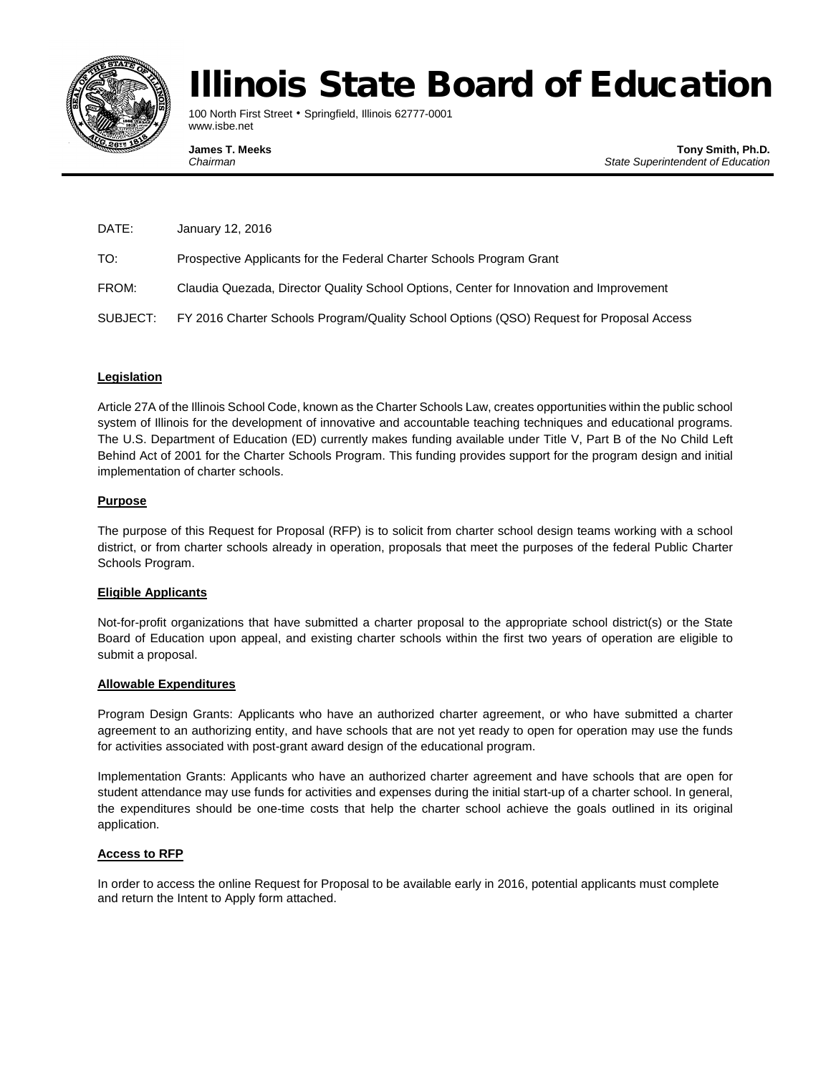

# Illinois State Board of Education

100 North First Street • Springfield, Illinois 62777-0001 www.isbe.net

**James T. Meeks The South Science of the State Superintendent of Education**<br>Chairman **Chairman Chairman** *Chairman State Superintendent of Education*

| DATE:    | January 12, 2016                                                                         |
|----------|------------------------------------------------------------------------------------------|
| TO:      | Prospective Applicants for the Federal Charter Schools Program Grant                     |
| FROM:    | Claudia Quezada, Director Quality School Options, Center for Innovation and Improvement  |
| SUBJECT: | FY 2016 Charter Schools Program/Quality School Options (QSO) Request for Proposal Access |

## **Legislation**

Article 27A of the Illinois School Code, known as the Charter Schools Law, creates opportunities within the public school system of Illinois for the development of innovative and accountable teaching techniques and educational programs. The U.S. Department of Education (ED) currently makes funding available under Title V, Part B of the No Child Left Behind Act of 2001 for the Charter Schools Program. This funding provides support for the program design and initial implementation of charter schools.

### **Purpose**

The purpose of this Request for Proposal (RFP) is to solicit from charter school design teams working with a school district, or from charter schools already in operation, proposals that meet the purposes of the federal Public Charter Schools Program.

#### **Eligible Applicants**

Not-for-profit organizations that have submitted a charter proposal to the appropriate school district(s) or the State Board of Education upon appeal, and existing charter schools within the first two years of operation are eligible to submit a proposal.

#### **Allowable Expenditures**

Program Design Grants: Applicants who have an authorized charter agreement, or who have submitted a charter agreement to an authorizing entity, and have schools that are not yet ready to open for operation may use the funds for activities associated with post-grant award design of the educational program.

Implementation Grants: Applicants who have an authorized charter agreement and have schools that are open for student attendance may use funds for activities and expenses during the initial start-up of a charter school. In general, the expenditures should be one-time costs that help the charter school achieve the goals outlined in its original application.

#### **Access to RFP**

In order to access the online Request for Proposal to be available early in 2016, potential applicants must complete and return the Intent to Apply form attached.